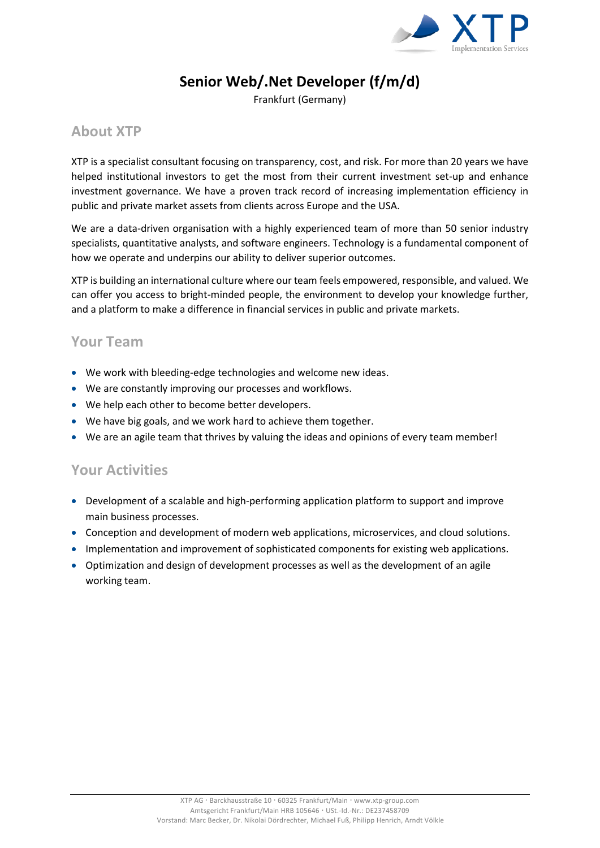

# **Senior Web/.Net Developer (f/m/d)**

Frankfurt (Germany)

### **About XTP**

XTP is a specialist consultant focusing on transparency, cost, and risk. For more than 20 years we have helped institutional investors to get the most from their current investment set-up and enhance investment governance. We have a proven track record of increasing implementation efficiency in public and private market assets from clients across Europe and the USA.

We are a data-driven organisation with a highly experienced team of more than 50 senior industry specialists, quantitative analysts, and software engineers. Technology is a fundamental component of how we operate and underpins our ability to deliver superior outcomes.

XTP is building an international culture where our team feels empowered, responsible, and valued. We can offer you access to bright-minded people, the environment to develop your knowledge further, and a platform to make a difference in financial services in public and private markets.

#### **Your Team**

- We work with bleeding-edge technologies and welcome new ideas.
- We are constantly improving our processes and workflows.
- We help each other to become better developers.
- We have big goals, and we work hard to achieve them together.
- We are an agile team that thrives by valuing the ideas and opinions of every team member!

#### **Your Activities**

- Development of a scalable and high-performing application platform to support and improve main business processes.
- Conception and development of modern web applications, microservices, and cloud solutions.
- Implementation and improvement of sophisticated components for existing web applications.
- Optimization and design of development processes as well as the development of an agile working team.